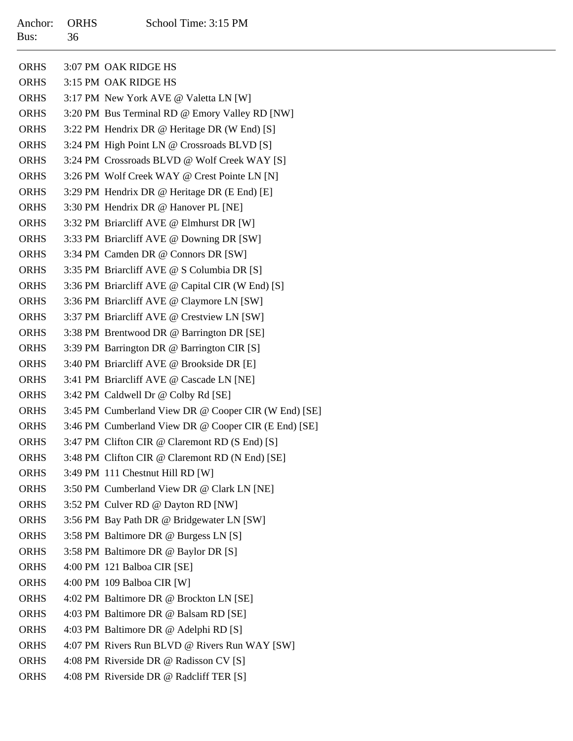| Anchor:<br>Bus: | <b>ORHS</b><br>36 | School Time: 3:15 PM                                 |
|-----------------|-------------------|------------------------------------------------------|
| <b>ORHS</b>     |                   | 3:07 PM OAK RIDGE HS                                 |
| <b>ORHS</b>     |                   | 3:15 PM OAK RIDGE HS                                 |
| <b>ORHS</b>     |                   | 3:17 PM New York AVE @ Valetta LN [W]                |
| <b>ORHS</b>     |                   | 3:20 PM Bus Terminal RD @ Emory Valley RD [NW]       |
| <b>ORHS</b>     |                   | 3:22 PM Hendrix DR @ Heritage DR (W End) [S]         |
| <b>ORHS</b>     |                   | 3:24 PM High Point LN @ Crossroads BLVD [S]          |
| <b>ORHS</b>     |                   | 3:24 PM Crossroads BLVD @ Wolf Creek WAY [S]         |
| <b>ORHS</b>     |                   | 3:26 PM Wolf Creek WAY @ Crest Pointe LN [N]         |
| <b>ORHS</b>     |                   | 3:29 PM Hendrix DR @ Heritage DR (E End) [E]         |
| <b>ORHS</b>     |                   | 3:30 PM Hendrix DR @ Hanover PL [NE]                 |
| <b>ORHS</b>     |                   | 3:32 PM Briarcliff AVE @ Elmhurst DR [W]             |
| <b>ORHS</b>     |                   | 3:33 PM Briarcliff AVE @ Downing DR [SW]             |
| <b>ORHS</b>     |                   | 3:34 PM Camden DR @ Connors DR [SW]                  |
| <b>ORHS</b>     |                   | 3:35 PM Briarcliff AVE @ S Columbia DR [S]           |
| <b>ORHS</b>     |                   | 3:36 PM Briarcliff AVE @ Capital CIR (W End) [S]     |
| <b>ORHS</b>     |                   | 3:36 PM Briarcliff AVE @ Claymore LN [SW]            |
| <b>ORHS</b>     |                   | 3:37 PM Briarcliff AVE @ Crestview LN [SW]           |
| <b>ORHS</b>     |                   | 3:38 PM Brentwood DR @ Barrington DR [SE]            |
| <b>ORHS</b>     |                   | 3:39 PM Barrington DR @ Barrington CIR [S]           |
| <b>ORHS</b>     |                   | 3:40 PM Briarcliff AVE @ Brookside DR [E]            |
| <b>ORHS</b>     |                   | 3:41 PM Briarcliff AVE @ Cascade LN [NE]             |
| <b>ORHS</b>     |                   | 3:42 PM Caldwell Dr @ Colby Rd [SE]                  |
| <b>ORHS</b>     |                   | 3:45 PM Cumberland View DR @ Cooper CIR (W End) [SE] |
| <b>ORHS</b>     |                   | 3:46 PM Cumberland View DR @ Cooper CIR (E End) [SE] |
| <b>ORHS</b>     |                   | 3:47 PM Clifton CIR @ Claremont RD (S End) [S]       |
| <b>ORHS</b>     |                   | 3:48 PM Clifton CIR @ Claremont RD (N End) [SE]      |
| <b>ORHS</b>     |                   | 3:49 PM 111 Chestnut Hill RD [W]                     |
| <b>ORHS</b>     |                   | 3:50 PM Cumberland View DR @ Clark LN [NE]           |
| <b>ORHS</b>     |                   | 3:52 PM Culver RD @ Dayton RD [NW]                   |
| <b>ORHS</b>     |                   | 3:56 PM Bay Path DR @ Bridgewater LN [SW]            |
| <b>ORHS</b>     |                   | 3:58 PM Baltimore DR @ Burgess LN [S]                |
| <b>ORHS</b>     |                   | 3:58 PM Baltimore DR @ Baylor DR [S]                 |
| <b>ORHS</b>     |                   | 4:00 PM 121 Balboa CIR [SE]                          |
| <b>ORHS</b>     |                   | 4:00 PM 109 Balboa CIR [W]                           |
| <b>ORHS</b>     |                   | 4:02 PM Baltimore DR @ Brockton LN [SE]              |
| <b>ORHS</b>     |                   | 4:03 PM Baltimore DR @ Balsam RD [SE]                |
| <b>ORHS</b>     |                   | 4:03 PM Baltimore DR @ Adelphi RD [S]                |
| <b>ORHS</b>     |                   | 4:07 PM Rivers Run BLVD @ Rivers Run WAY [SW]        |
| <b>ORHS</b>     |                   | 4:08 PM Riverside DR @ Radisson CV [S]               |
| <b>ORHS</b>     |                   | 4:08 PM Riverside DR @ Radcliff TER [S]              |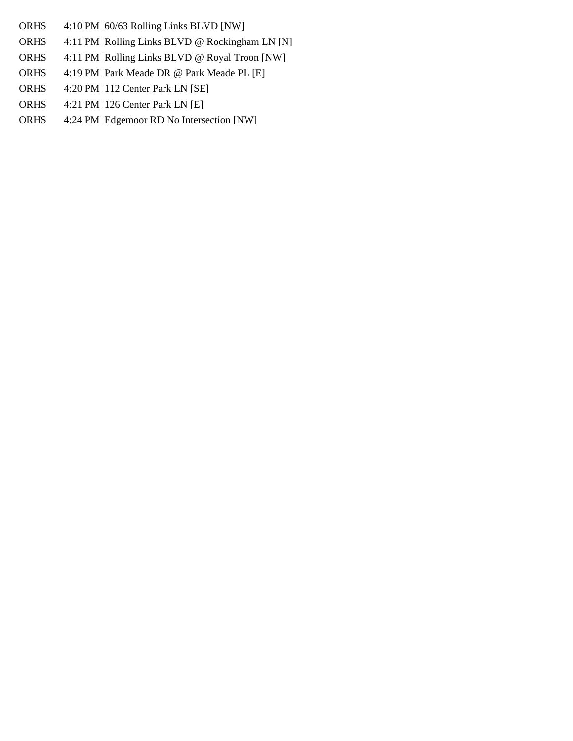- **ORHS** 4:10 PM 60/63 Rolling Links BLVD [NW]
- ORHS4:11 PM Rolling Links BLVD @ Rockingham LN [N]
- ORHS4:11 PM Rolling Links BLVD @ Royal Troon [NW]
- ORHS4:19 PM Park Meade DR @ Park Meade PL [E]
- ORHS4:20 PM 112 Center Park LN [SE]
- ORHS4:21 PM 126 Center Park LN [E]
- ORHS4:24 PM Edgemoor RD No Intersection [NW]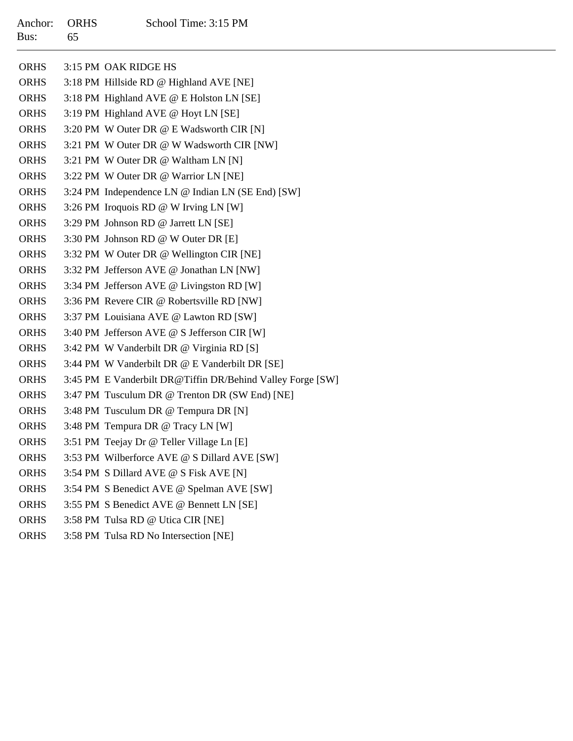|             | ORHS 3:15 PM OAK RIDGE HS                                  |
|-------------|------------------------------------------------------------|
| ORHS        | 3:18 PM Hillside RD @ Highland AVE [NE]                    |
| ORHS        | 3:18 PM Highland AVE @ E Holston LN [SE]                   |
| <b>ORHS</b> | 3:19 PM Highland AVE @ Hoyt LN [SE]                        |
| <b>ORHS</b> | 3:20 PM W Outer DR @ E Wadsworth CIR [N]                   |
| <b>ORHS</b> | 3:21 PM W Outer DR @ W Wadsworth CIR [NW]                  |
| <b>ORHS</b> | 3:21 PM W Outer DR @ Waltham LN [N]                        |
| <b>ORHS</b> | 3:22 PM W Outer DR @ Warrior LN [NE]                       |
| <b>ORHS</b> | 3:24 PM Independence LN @ Indian LN (SE End) [SW]          |
| ORHS        | 3:26 PM Iroquois RD @ W Irving LN [W]                      |
| <b>ORHS</b> | 3:29 PM Johnson RD @ Jarrett LN [SE]                       |
| <b>ORHS</b> | 3:30 PM Johnson RD @ W Outer DR [E]                        |
| <b>ORHS</b> | 3:32 PM W Outer DR @ Wellington CIR [NE]                   |
| <b>ORHS</b> | 3:32 PM Jefferson AVE @ Jonathan LN [NW]                   |
| ORHS        | 3:34 PM Jefferson AVE @ Livingston RD [W]                  |
| ORHS        | 3:36 PM Revere CIR @ Robertsville RD [NW]                  |
| <b>ORHS</b> | 3:37 PM Louisiana AVE @ Lawton RD [SW]                     |
| <b>ORHS</b> | 3:40 PM Jefferson AVE @ S Jefferson CIR [W]                |
| <b>ORHS</b> | 3:42 PM W Vanderbilt DR @ Virginia RD [S]                  |
| ORHS        | 3:44 PM W Vanderbilt DR @ E Vanderbilt DR [SE]             |
| <b>ORHS</b> | 3:45 PM E Vanderbilt DR@Tiffin DR/Behind Valley Forge [SW] |
| <b>ORHS</b> | 3:47 PM Tusculum DR @ Trenton DR (SW End) [NE]             |
| <b>ORHS</b> | 3:48 PM Tusculum DR @ Tempura DR [N]                       |
| <b>ORHS</b> | 3:48 PM Tempura DR @ Tracy LN [W]                          |
| ORHS        | 3:51 PM Teejay Dr @ Teller Village Ln [E]                  |
| <b>ORHS</b> | 3:53 PM Wilberforce AVE @ S Dillard AVE [SW]               |
| <b>ORHS</b> | 3:54 PM S Dillard AVE @ S Fisk AVE [N]                     |
| <b>ORHS</b> | 3:54 PM S Benedict AVE @ Spelman AVE [SW]                  |
| <b>ORHS</b> | 3:55 PM S Benedict AVE @ Bennett LN [SE]                   |
| <b>ORHS</b> | 3:58 PM Tulsa RD @ Utica CIR [NE]                          |
| <b>ORHS</b> | 3:58 PM Tulsa RD No Intersection [NE]                      |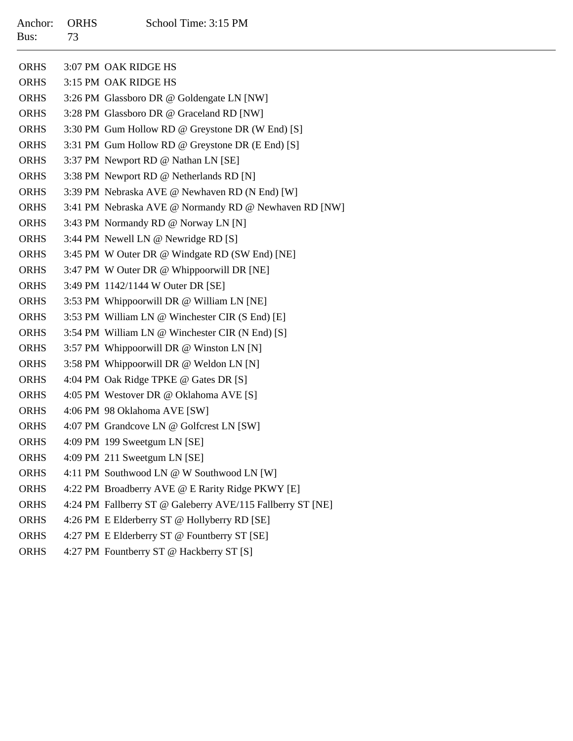| Anchor:<br>Bus: | <b>ORHS</b><br>73 | School Time: 3:15 PM                                       |
|-----------------|-------------------|------------------------------------------------------------|
| <b>ORHS</b>     |                   | 3:07 PM OAK RIDGE HS                                       |
| <b>ORHS</b>     |                   | 3:15 PM OAK RIDGE HS                                       |
| <b>ORHS</b>     |                   | 3:26 PM Glassboro DR @ Goldengate LN [NW]                  |
| <b>ORHS</b>     |                   | 3:28 PM Glassboro DR @ Graceland RD [NW]                   |
| <b>ORHS</b>     |                   | 3:30 PM Gum Hollow RD @ Greystone DR (W End) [S]           |
| <b>ORHS</b>     |                   | 3:31 PM Gum Hollow RD @ Greystone DR (E End) [S]           |
| <b>ORHS</b>     |                   | 3:37 PM Newport RD @ Nathan LN [SE]                        |
| <b>ORHS</b>     |                   | 3:38 PM Newport RD @ Netherlands RD [N]                    |
| <b>ORHS</b>     |                   | 3:39 PM Nebraska AVE @ Newhaven RD (N End) [W]             |
| <b>ORHS</b>     |                   | 3:41 PM Nebraska AVE @ Normandy RD @ Newhaven RD [NW]      |
| <b>ORHS</b>     |                   | 3:43 PM Normandy RD @ Norway LN [N]                        |
| <b>ORHS</b>     |                   | 3:44 PM Newell LN @ Newridge RD [S]                        |
| <b>ORHS</b>     |                   | 3:45 PM W Outer DR @ Windgate RD (SW End) [NE]             |
| <b>ORHS</b>     |                   | 3:47 PM W Outer DR @ Whippoorwill DR [NE]                  |
| <b>ORHS</b>     |                   | 3:49 PM 1142/1144 W Outer DR [SE]                          |
| <b>ORHS</b>     |                   | 3:53 PM Whippoorwill DR @ William LN [NE]                  |
| <b>ORHS</b>     |                   | 3:53 PM William LN @ Winchester CIR (S End) [E]            |
| <b>ORHS</b>     |                   | 3:54 PM William LN @ Winchester CIR (N End) [S]            |
| <b>ORHS</b>     |                   | 3:57 PM Whippoorwill DR @ Winston LN [N]                   |
| <b>ORHS</b>     |                   | 3:58 PM Whippoorwill DR @ Weldon LN [N]                    |
| <b>ORHS</b>     |                   | 4:04 PM Oak Ridge TPKE @ Gates DR [S]                      |
| <b>ORHS</b>     |                   | 4:05 PM Westover DR @ Oklahoma AVE [S]                     |
| <b>ORHS</b>     |                   | 4:06 PM 98 Oklahoma AVE [SW]                               |
| <b>ORHS</b>     |                   | 4:07 PM Grandcove LN @ Golfcrest LN [SW]                   |
| <b>ORHS</b>     |                   | 4:09 PM 199 Sweetgum LN [SE]                               |
| <b>ORHS</b>     |                   | 4:09 PM 211 Sweetgum LN [SE]                               |
| <b>ORHS</b>     |                   | 4:11 PM Southwood LN @ W Southwood LN [W]                  |
| <b>ORHS</b>     |                   | 4:22 PM Broadberry AVE @ E Rarity Ridge PKWY [E]           |
| <b>ORHS</b>     |                   | 4:24 PM Fallberry ST @ Galeberry AVE/115 Fallberry ST [NE] |
| <b>ORHS</b>     |                   | 4:26 PM E Elderberry ST @ Hollyberry RD [SE]               |
| <b>ORHS</b>     |                   | 4:27 PM E Elderberry ST @ Fountberry ST [SE]               |
| <b>ORHS</b>     |                   | 4:27 PM Fountberry ST @ Hackberry ST [S]                   |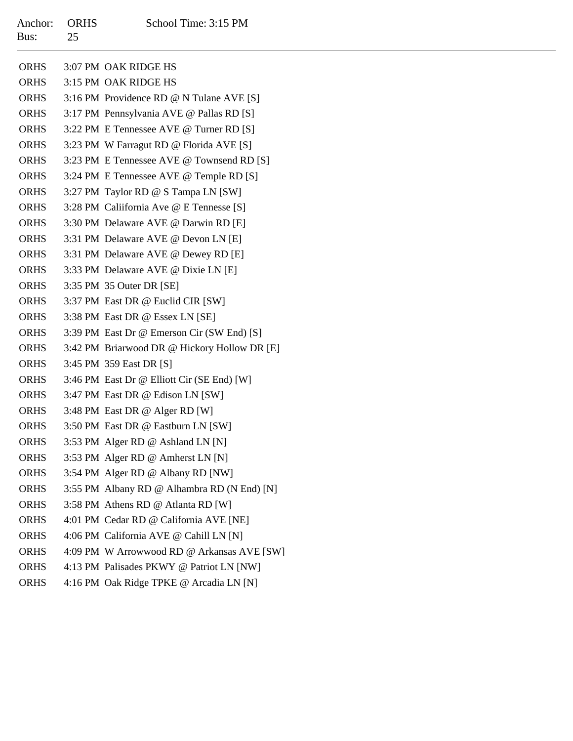| Anchor:<br>Bus: | <b>ORHS</b><br>25 | School Time: 3:15 PM                         |
|-----------------|-------------------|----------------------------------------------|
| <b>ORHS</b>     |                   | 3:07 PM OAK RIDGE HS                         |
| <b>ORHS</b>     |                   | 3:15 PM OAK RIDGE HS                         |
| <b>ORHS</b>     |                   | 3:16 PM Providence RD @ N Tulane AVE [S]     |
| <b>ORHS</b>     |                   | 3:17 PM Pennsylvania AVE @ Pallas RD [S]     |
| <b>ORHS</b>     |                   | 3:22 PM E Tennessee AVE @ Turner RD [S]      |
| <b>ORHS</b>     |                   | 3:23 PM W Farragut RD @ Florida AVE [S]      |
| <b>ORHS</b>     |                   | 3:23 PM E Tennessee AVE @ Townsend RD [S]    |
| <b>ORHS</b>     |                   | 3:24 PM E Tennessee AVE @ Temple RD [S]      |
| <b>ORHS</b>     |                   | 3:27 PM Taylor RD @ S Tampa LN [SW]          |
| <b>ORHS</b>     |                   | 3:28 PM Caliifornia Ave @ E Tennesse [S]     |
| <b>ORHS</b>     |                   | 3:30 PM Delaware AVE @ Darwin RD [E]         |
| <b>ORHS</b>     |                   | 3:31 PM Delaware AVE @ Devon LN [E]          |
| <b>ORHS</b>     |                   | 3:31 PM Delaware AVE @ Dewey RD [E]          |
| <b>ORHS</b>     |                   | 3:33 PM Delaware AVE @ Dixie LN [E]          |
| <b>ORHS</b>     |                   | 3:35 PM 35 Outer DR [SE]                     |
| <b>ORHS</b>     |                   | 3:37 PM East DR @ Euclid CIR [SW]            |
| <b>ORHS</b>     |                   | 3:38 PM East DR @ Essex LN [SE]              |
| <b>ORHS</b>     |                   | 3:39 PM East Dr @ Emerson Cir (SW End) [S]   |
| <b>ORHS</b>     |                   | 3:42 PM Briarwood DR @ Hickory Hollow DR [E] |
| <b>ORHS</b>     |                   | 3:45 PM 359 East DR [S]                      |
| <b>ORHS</b>     |                   | 3:46 PM East Dr @ Elliott Cir (SE End) [W]   |
| <b>ORHS</b>     |                   | 3:47 PM East DR @ Edison LN [SW]             |
| <b>ORHS</b>     |                   | 3:48 PM East DR @ Alger RD [W]               |
| <b>ORHS</b>     |                   | 3:50 PM East DR @ Eastburn LN [SW]           |
| <b>ORHS</b>     |                   | 3:53 PM Alger RD @ Ashland LN [N]            |
| <b>ORHS</b>     |                   | 3:53 PM Alger RD @ Amherst LN [N]            |
| <b>ORHS</b>     |                   | 3:54 PM Alger RD @ Albany RD [NW]            |
| <b>ORHS</b>     |                   | 3:55 PM Albany RD @ Alhambra RD (N End) [N]  |
| <b>ORHS</b>     |                   | 3:58 PM Athens RD @ Atlanta RD [W]           |
| <b>ORHS</b>     |                   | 4:01 PM Cedar RD @ California AVE [NE]       |
| <b>ORHS</b>     |                   | 4:06 PM California AVE @ Cahill LN [N]       |
| <b>ORHS</b>     |                   | 4:09 PM W Arrowwood RD @ Arkansas AVE [SW]   |
| <b>ORHS</b>     |                   | 4:13 PM Palisades PKWY @ Patriot LN [NW]     |
| <b>ORHS</b>     |                   | 4:16 PM Oak Ridge TPKE @ Arcadia LN [N]      |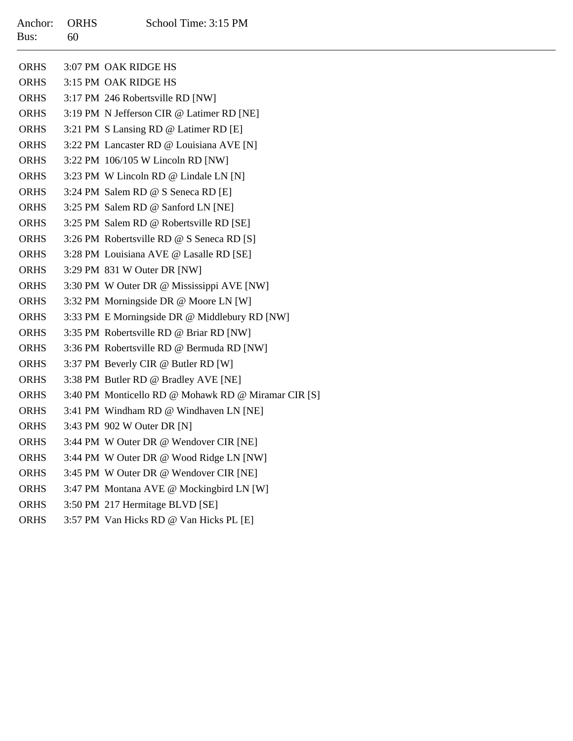| Anchor:<br>Bus: | <b>ORHS</b><br>60 | School Time: 3:15 PM                                |
|-----------------|-------------------|-----------------------------------------------------|
| <b>ORHS</b>     |                   | 3:07 PM OAK RIDGE HS                                |
| <b>ORHS</b>     |                   | 3:15 PM OAK RIDGE HS                                |
| <b>ORHS</b>     |                   | 3:17 PM 246 Robertsville RD [NW]                    |
| <b>ORHS</b>     |                   | 3:19 PM N Jefferson CIR @ Latimer RD [NE]           |
| <b>ORHS</b>     |                   | 3:21 PM S Lansing RD @ Latimer RD [E]               |
| <b>ORHS</b>     |                   | 3:22 PM Lancaster RD @ Louisiana AVE [N]            |
| <b>ORHS</b>     |                   | 3:22 PM 106/105 W Lincoln RD [NW]                   |
| <b>ORHS</b>     |                   | 3:23 PM W Lincoln RD @ Lindale LN [N]               |
| <b>ORHS</b>     |                   | 3:24 PM Salem RD @ S Seneca RD [E]                  |
| <b>ORHS</b>     |                   | 3:25 PM Salem RD @ Sanford LN [NE]                  |
| <b>ORHS</b>     |                   | 3:25 PM Salem RD @ Robertsville RD [SE]             |
| <b>ORHS</b>     |                   | 3:26 PM Robertsville RD @ S Seneca RD [S]           |
| <b>ORHS</b>     |                   | 3:28 PM Louisiana AVE @ Lasalle RD [SE]             |
| <b>ORHS</b>     |                   | 3:29 PM 831 W Outer DR [NW]                         |
| <b>ORHS</b>     |                   | 3:30 PM W Outer DR @ Mississippi AVE [NW]           |
| <b>ORHS</b>     |                   | 3:32 PM Morningside DR @ Moore LN [W]               |
| <b>ORHS</b>     |                   | 3:33 PM E Morningside DR @ Middlebury RD [NW]       |
| <b>ORHS</b>     |                   | 3:35 PM Robertsville RD @ Briar RD [NW]             |
| <b>ORHS</b>     |                   | 3:36 PM Robertsville RD @ Bermuda RD [NW]           |
| <b>ORHS</b>     |                   | 3:37 PM Beverly CIR @ Butler RD [W]                 |
| <b>ORHS</b>     |                   | 3:38 PM Butler RD @ Bradley AVE [NE]                |
| <b>ORHS</b>     |                   | 3:40 PM Monticello RD @ Mohawk RD @ Miramar CIR [S] |
| <b>ORHS</b>     |                   | 3:41 PM Windham RD @ Windhaven LN [NE]              |
| <b>ORHS</b>     |                   | 3:43 PM 902 W Outer DR [N]                          |
| <b>ORHS</b>     |                   | 3:44 PM W Outer DR @ Wendover CIR [NE]              |
| <b>ORHS</b>     |                   | 3:44 PM W Outer DR @ Wood Ridge LN [NW]             |
| <b>ORHS</b>     |                   | 3:45 PM W Outer DR @ Wendover CIR [NE]              |
| <b>ORHS</b>     |                   | 3:47 PM Montana AVE @ Mockingbird LN [W]            |
| <b>ORHS</b>     |                   | 3:50 PM 217 Hermitage BLVD [SE]                     |
| <b>ORHS</b>     |                   | 3:57 PM Van Hicks RD @ Van Hicks PL [E]             |